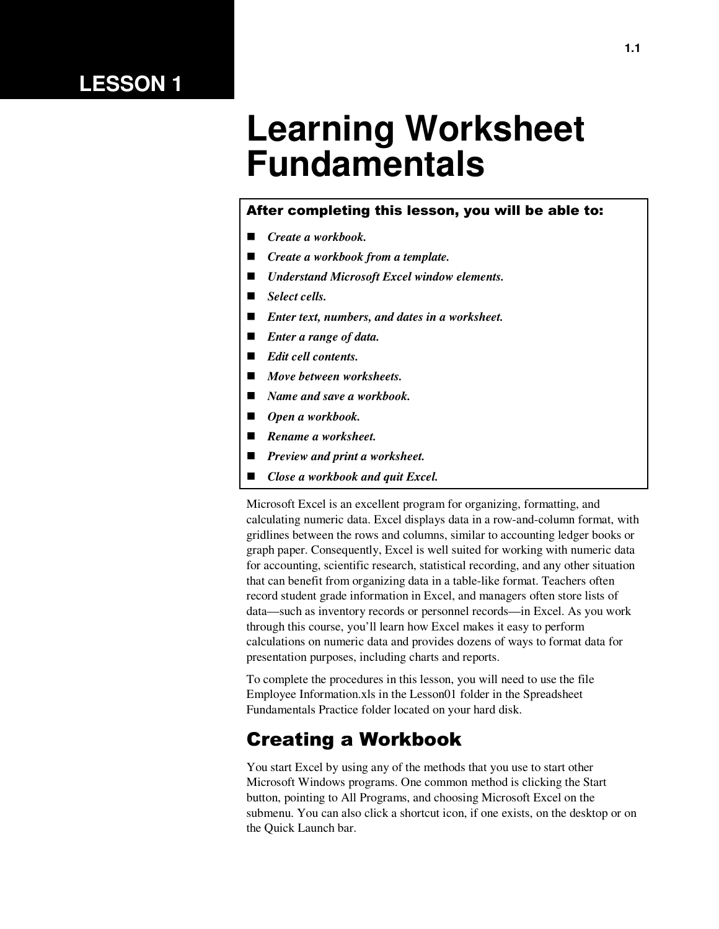### **LESSON 1**

# **Learning Worksheet Fundamentals**

#### After completing this lesson, you will be able to:

- *Create a workbook.*
- *Create a workbook from a template.*
- *Understand Microsoft Excel window elements.*
- *Select cells.*
- *Enter text, numbers, and dates in a worksheet.*
- *Enter a range of data.*
- *Edit cell contents.*
- *Move between worksheets.*
- *Name and save a workbook.*
- *Open a workbook.*
- *Rename a worksheet.*
- *Preview and print a worksheet.*
- *Close a workbook and quit Excel.*

Microsoft Excel is an excellent program for organizing, formatting, and calculating numeric data. Excel displays data in a row-and-column format, with gridlines between the rows and columns, similar to accounting ledger books or graph paper. Consequently, Excel is well suited for working with numeric data for accounting, scientific research, statistical recording, and any other situation that can benefit from organizing data in a table-like format. Teachers often record student grade information in Excel, and managers often store lists of data—such as inventory records or personnel records—in Excel. As you work through this course, you'll learn how Excel makes it easy to perform calculations on numeric data and provides dozens of ways to format data for presentation purposes, including charts and reports.

To complete the procedures in this lesson, you will need to use the file Employee Information.xls in the Lesson01 folder in the Spreadsheet Fundamentals Practice folder located on your hard disk.

#### Creating a Workbook

You start Excel by using any of the methods that you use to start other Microsoft Windows programs. One common method is clicking the Start button, pointing to All Programs, and choosing Microsoft Excel on the submenu. You can also click a shortcut icon, if one exists, on the desktop or on the Quick Launch bar.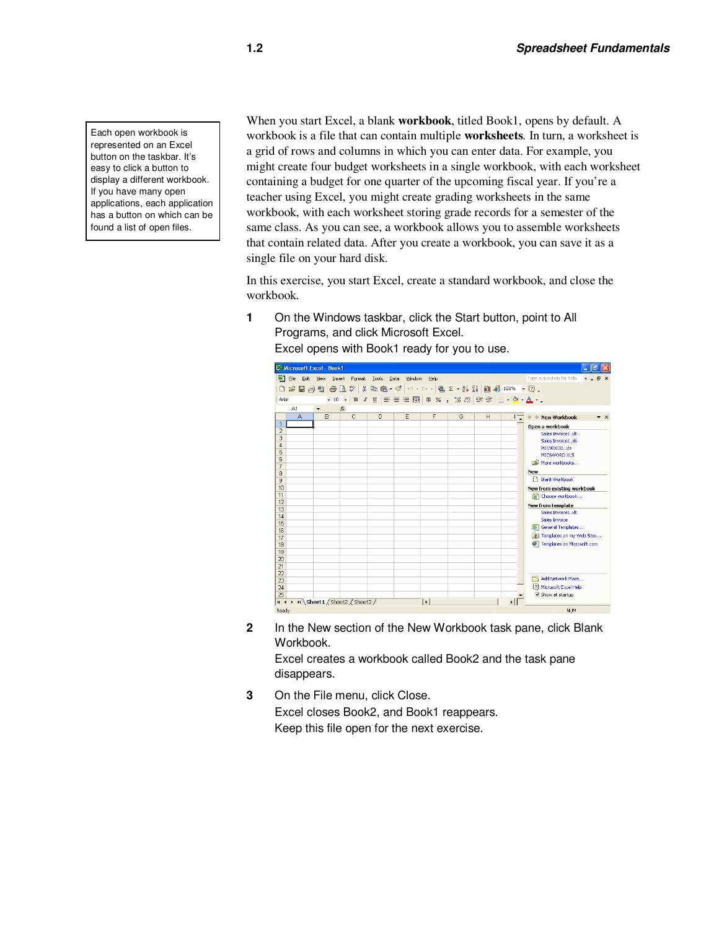Each open workbook is represented on an Excel button on the taskbar. It's easy to click a button to display a different workbook. If you have many open applications, each application has a button on which can be found a list of open files.

When you start Excel, a blank **workbook**, titled Book1, opens by default. A workbook is a file that can contain multiple **worksheets***.* In turn, a worksheet is a grid of rows and columns in which you can enter data. For example, you might create four budget worksheets in a single workbook, with each worksheet containing a budget for one quarter of the upcoming fiscal year. If you're a teacher using Excel, you might create grading worksheets in the same workbook, with each worksheet storing grade records for a semester of the same class. As you can see, a workbook allows you to assemble worksheets that contain related data. After you create a workbook, you can save it as a single file on your hard disk.

In this exercise, you start Excel, create a standard workbook, and close the workbook.

**1** On the Windows taskbar, click the Start button, point to All Programs, and click Microsoft Excel. Excel opens with Book1 ready for you to use.



**2** In the New section of the New Workbook task pane, click Blank Workbook.

Excel creates a workbook called Book2 and the task pane disappears.

**3** On the File menu, click Close. Excel closes Book2, and Book1 reappears. Keep this file open for the next exercise.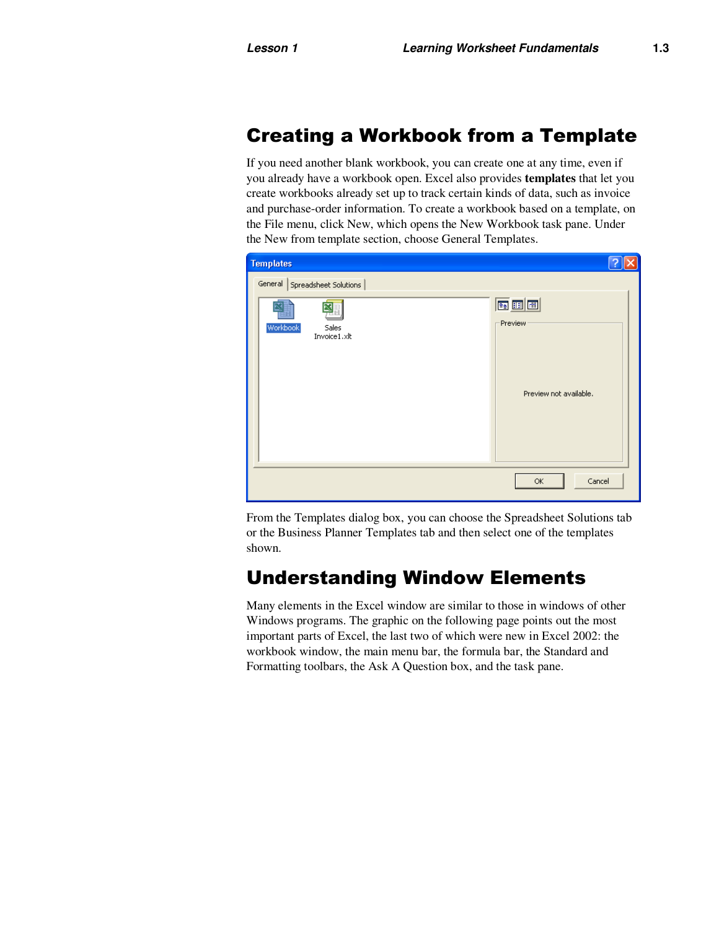#### Creating a Workbook from a Template

If you need another blank workbook, you can create one at any time, even if you already have a workbook open. Excel also provides **templates** that let you create workbooks already set up to track certain kinds of data, such as invoice and purchase-order information. To create a workbook based on a template, on the File menu, click New, which opens the New Workbook task pane. Under the New from template section, choose General Templates.



From the Templates dialog box, you can choose the Spreadsheet Solutions tab or the Business Planner Templates tab and then select one of the templates shown.

#### Understanding Window Elements

Many elements in the Excel window are similar to those in windows of other Windows programs. The graphic on the following page points out the most important parts of Excel, the last two of which were new in Excel 2002: the workbook window, the main menu bar, the formula bar, the Standard and Formatting toolbars, the Ask A Question box, and the task pane.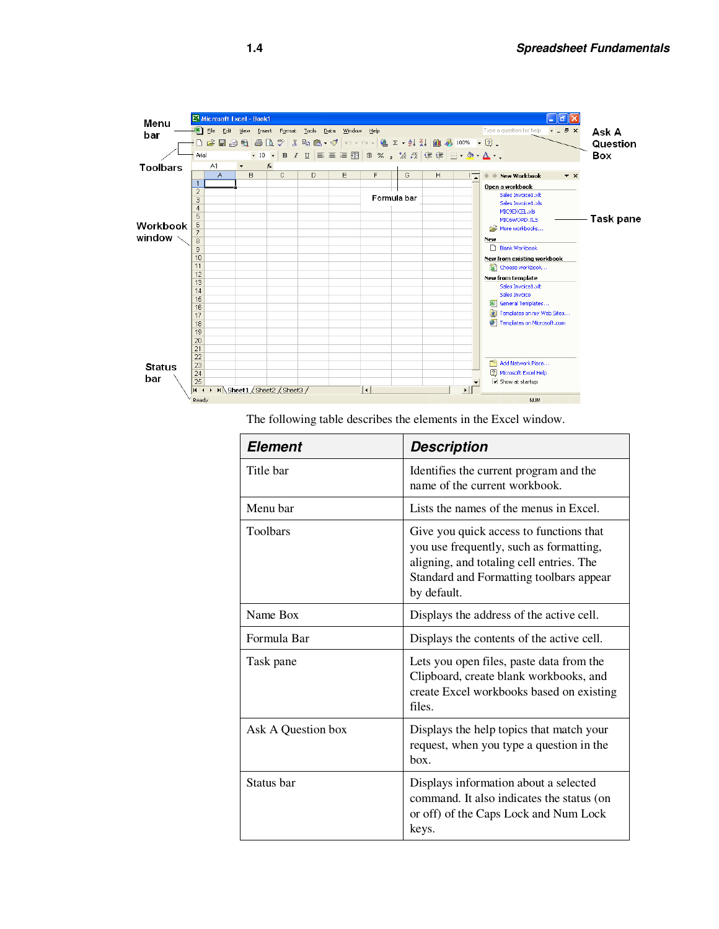

The following table describes the elements in the Excel window.

| <b>Element</b>     | <b>Description</b>                                                                                                                                                                       |  |  |  |  |
|--------------------|------------------------------------------------------------------------------------------------------------------------------------------------------------------------------------------|--|--|--|--|
| Title bar          | Identifies the current program and the<br>name of the current workbook.                                                                                                                  |  |  |  |  |
| Menu bar           | Lists the names of the menus in Excel.                                                                                                                                                   |  |  |  |  |
| <b>Toolbars</b>    | Give you quick access to functions that<br>you use frequently, such as formatting,<br>aligning, and totaling cell entries. The<br>Standard and Formatting toolbars appear<br>by default. |  |  |  |  |
| Name Box           | Displays the address of the active cell.                                                                                                                                                 |  |  |  |  |
| Formula Bar        | Displays the contents of the active cell.                                                                                                                                                |  |  |  |  |
| Task pane          | Lets you open files, paste data from the<br>Clipboard, create blank workbooks, and<br>create Excel workbooks based on existing<br>files.                                                 |  |  |  |  |
| Ask A Question box | Displays the help topics that match your<br>request, when you type a question in the<br>box.                                                                                             |  |  |  |  |
| Status bar         | Displays information about a selected<br>command. It also indicates the status (on<br>or off) of the Caps Lock and Num Lock<br>keys.                                                     |  |  |  |  |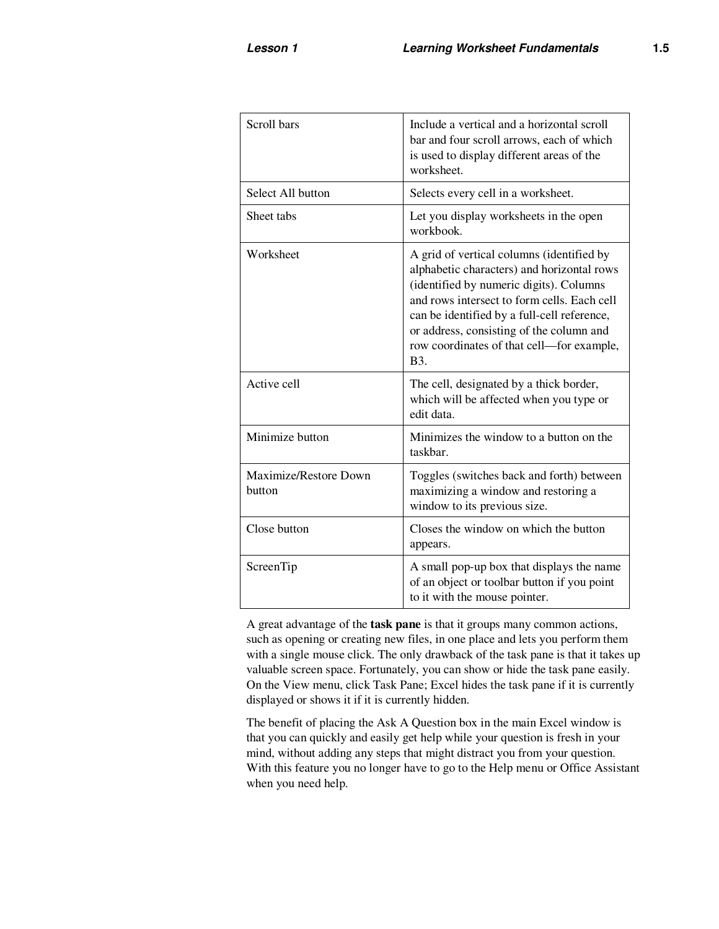| Scroll bars                     | Include a vertical and a horizontal scroll<br>bar and four scroll arrows, each of which<br>is used to display different areas of the<br>worksheet.                                                                                                                                                                                       |
|---------------------------------|------------------------------------------------------------------------------------------------------------------------------------------------------------------------------------------------------------------------------------------------------------------------------------------------------------------------------------------|
| Select All button               | Selects every cell in a worksheet.                                                                                                                                                                                                                                                                                                       |
| Sheet tabs                      | Let you display worksheets in the open<br>workbook.                                                                                                                                                                                                                                                                                      |
| Worksheet                       | A grid of vertical columns (identified by<br>alphabetic characters) and horizontal rows<br>(identified by numeric digits). Columns<br>and rows intersect to form cells. Each cell<br>can be identified by a full-cell reference,<br>or address, consisting of the column and<br>row coordinates of that cell—for example,<br><b>B</b> 3. |
| Active cell                     | The cell, designated by a thick border,<br>which will be affected when you type or<br>edit data.                                                                                                                                                                                                                                         |
| Minimize button                 | Minimizes the window to a button on the<br>taskbar.                                                                                                                                                                                                                                                                                      |
| Maximize/Restore Down<br>button | Toggles (switches back and forth) between<br>maximizing a window and restoring a<br>window to its previous size.                                                                                                                                                                                                                         |
| Close button                    | Closes the window on which the button<br>appears.                                                                                                                                                                                                                                                                                        |
| ScreenTip                       | A small pop-up box that displays the name<br>of an object or toolbar button if you point<br>to it with the mouse pointer.                                                                                                                                                                                                                |

A great advantage of the **task pane** is that it groups many common actions, such as opening or creating new files, in one place and lets you perform them with a single mouse click. The only drawback of the task pane is that it takes up valuable screen space. Fortunately, you can show or hide the task pane easily. On the View menu, click Task Pane; Excel hides the task pane if it is currently displayed or shows it if it is currently hidden.

The benefit of placing the Ask A Question box in the main Excel window is that you can quickly and easily get help while your question is fresh in your mind, without adding any steps that might distract you from your question. With this feature you no longer have to go to the Help menu or Office Assistant when you need help.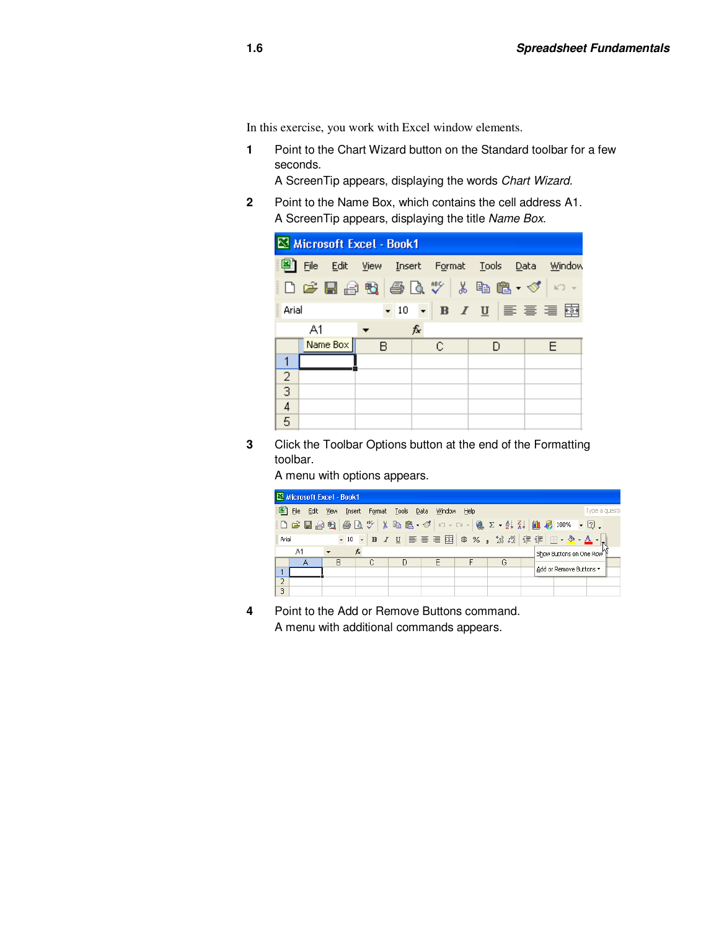In this exercise, you work with Excel window elements.

**1** Point to the Chart Wizard button on the Standard toolbar for a few seconds.

A ScreenTip appears, displaying the words Chart Wizard.

**2** Point to the Name Box, which contains the cell address A1. A ScreenTip appears, displaying the title Name Box.

|                |    | Microsoft Excel - Book1 |   |    |   |  |   |                                                                                                                                                                                                                                                                                                                                                                                                                                                                                                                       |
|----------------|----|-------------------------|---|----|---|--|---|-----------------------------------------------------------------------------------------------------------------------------------------------------------------------------------------------------------------------------------------------------------------------------------------------------------------------------------------------------------------------------------------------------------------------------------------------------------------------------------------------------------------------|
|                |    |                         |   |    |   |  |   | 图 File Edit View Insert Format Tools Data Window                                                                                                                                                                                                                                                                                                                                                                                                                                                                      |
|                |    |                         |   |    |   |  |   | $\left\vert \right\vert$ ) $\left\vert \right\vert$ $\left\vert \right\vert$ $\left\vert \right\vert$ $\left\vert \right\vert$ $\left\vert \right\vert$ $\left\vert \right\vert$ $\left\vert \right\vert$ $\left\vert \right\vert$ $\left\vert \right\vert$ $\left\vert \right\vert$ $\left\vert \right\vert$ $\left\vert \right\vert$ $\left\vert \right\vert$ $\left\vert \right\vert$ $\left\vert \right\vert$ $\left\vert \right\vert$ $\left\vert \right\vert$ $\left\vert \right\vert$ $\left\vert \right\vert$ |
| Arial          |    |                         |   |    |   |  |   | $\cdot$ 10 $\cdot$ B $I$ U $\equiv$ $\equiv$ $\equiv$ $\equiv$                                                                                                                                                                                                                                                                                                                                                                                                                                                        |
|                | A1 |                         |   | f. |   |  |   |                                                                                                                                                                                                                                                                                                                                                                                                                                                                                                                       |
|                |    | Name Box                | B |    | С |  | D | F                                                                                                                                                                                                                                                                                                                                                                                                                                                                                                                     |
| 1              |    |                         |   |    |   |  |   |                                                                                                                                                                                                                                                                                                                                                                                                                                                                                                                       |
| $\frac{2}{3}$  |    |                         |   |    |   |  |   |                                                                                                                                                                                                                                                                                                                                                                                                                                                                                                                       |
|                |    |                         |   |    |   |  |   |                                                                                                                                                                                                                                                                                                                                                                                                                                                                                                                       |
| $\overline{4}$ |    |                         |   |    |   |  |   |                                                                                                                                                                                                                                                                                                                                                                                                                                                                                                                       |
| 5              |    |                         |   |    |   |  |   |                                                                                                                                                                                                                                                                                                                                                                                                                                                                                                                       |

**3** Click the Toolbar Options button at the end of the Formatting toolbar.

A menu with options appears.

|                | Microsoft Excel - Book1 |           |                                 |   |   |      |   |                                                                                                                                                                                                                                                                                                                                                                                                                                                                 |
|----------------|-------------------------|-----------|---------------------------------|---|---|------|---|-----------------------------------------------------------------------------------------------------------------------------------------------------------------------------------------------------------------------------------------------------------------------------------------------------------------------------------------------------------------------------------------------------------------------------------------------------------------|
|                | 图 File                  | Edit View | Insert Format Tools Data Window |   |   | Help |   | Type a questic                                                                                                                                                                                                                                                                                                                                                                                                                                                  |
|                |                         |           |                                 |   |   |      |   | $\left\Vert \mathbf{D}\right\Vert$ . The set of $\left\Vert \mathbf{D}\right\Vert$ , $\left\Vert \mathbf{D}\right\Vert$ , $\left\Vert \mathbf{D}\right\Vert$ , $\left\Vert \mathbf{D}\right\Vert$ , $\left\Vert \mathbf{D}\right\Vert$ , $\left\Vert \mathbf{D}\right\Vert$ , $\left\Vert \mathbf{D}\right\Vert$ , $\left\Vert \mathbf{D}\right\Vert$ , $\left\Vert \mathbf{D}\right\Vert$ , $\left\Vert \mathbf{D}\right\Vert$ , $\left\Vert \mathbf{D}\right$ |
| Arial          |                         |           |                                 |   |   |      |   |                                                                                                                                                                                                                                                                                                                                                                                                                                                                 |
|                | A1                      |           | $f_x$                           |   |   |      |   | Show Buttons on One Row                                                                                                                                                                                                                                                                                                                                                                                                                                         |
|                |                         | B         | C                               | Ð | F |      | G |                                                                                                                                                                                                                                                                                                                                                                                                                                                                 |
|                |                         |           |                                 |   |   |      |   | Add or Remove Buttons *                                                                                                                                                                                                                                                                                                                                                                                                                                         |
| $\overline{2}$ |                         |           |                                 |   |   |      |   |                                                                                                                                                                                                                                                                                                                                                                                                                                                                 |
| 3              |                         |           |                                 |   |   |      |   |                                                                                                                                                                                                                                                                                                                                                                                                                                                                 |

**4** Point to the Add or Remove Buttons command. A menu with additional commands appears.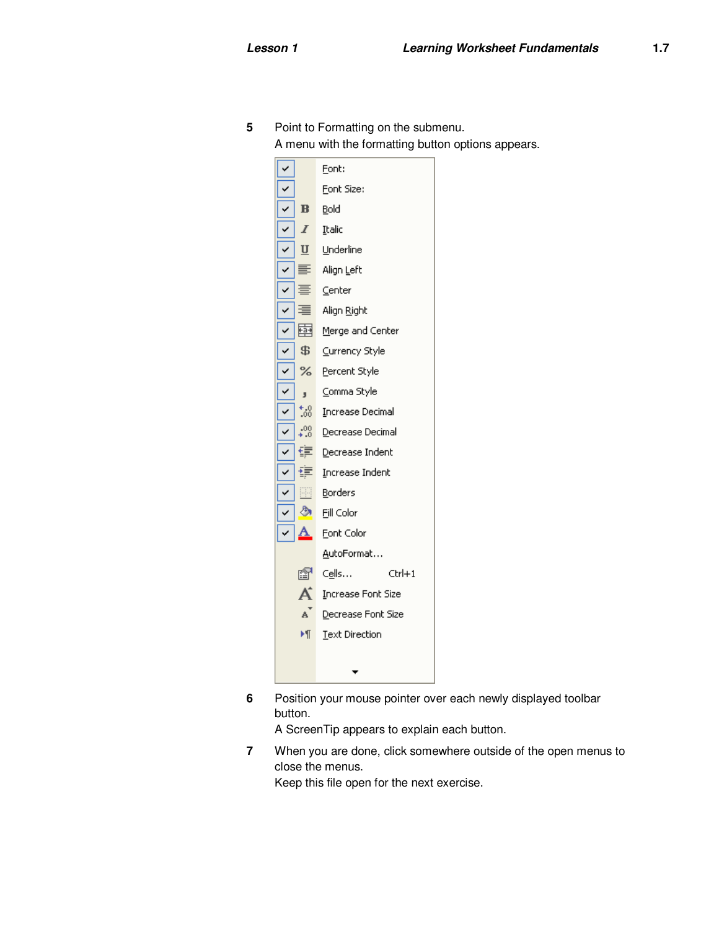

**5** Point to Formatting on the submenu.

A menu with the formatting button options appears.

**6** Position your mouse pointer over each newly displayed toolbar button.

A ScreenTip appears to explain each button.

**7** When you are done, click somewhere outside of the open menus to close the menus. Keep this file open for the next exercise.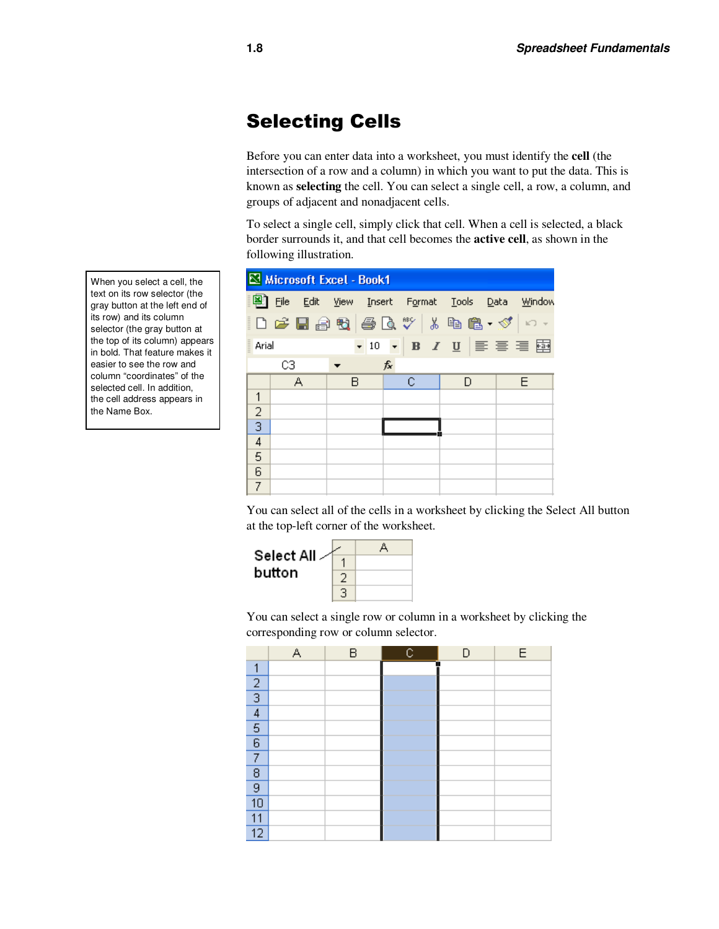### Selecting Cells

Before you can enter data into a worksheet, you must identify the **cell** (the intersection of a row and a column) in which you want to put the data. This is known as **selecting** the cell. You can select a single cell, a row, a column, and groups of adjacent and nonadjacent cells.

To select a single cell, simply click that cell. When a cell is selected, a black border surrounds it, and that cell becomes the **active cell**, as shown in the following illustration.



You can select all of the cells in a worksheet by clicking the Select All button at the top-left corner of the worksheet.



You can select a single row or column in a worksheet by clicking the corresponding row or column selector.

|                 | А | B | c | n | E |
|-----------------|---|---|---|---|---|
| 1               |   |   |   |   |   |
| $\overline{c}$  |   |   |   |   |   |
| $\overline{3}$  |   |   |   |   |   |
| $\overline{4}$  |   |   |   |   |   |
| $\overline{5}$  |   |   |   |   |   |
| $6\overline{6}$ |   |   |   |   |   |
| 7               |   |   |   |   |   |
| 8               |   |   |   |   |   |
| $\overline{9}$  |   |   |   |   |   |
| 10              |   |   |   |   |   |
| 11              |   |   |   |   |   |
| 12              |   |   |   |   |   |

When you select a cell, the text on its row selector (the gray button at the left end of its row) and its column selector (the gray button at the top of its column) appears in bold. That feature makes it easier to see the row and column "coordinates" of the selected cell. In addition, the cell address appears in the Name Box.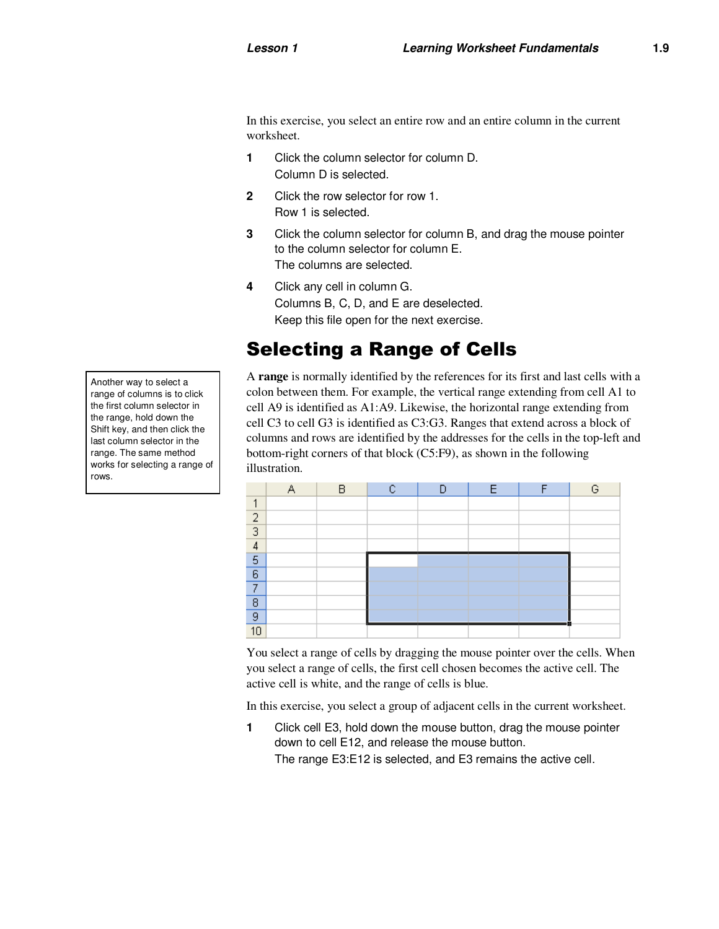In this exercise, you select an entire row and an entire column in the current worksheet.

- **1** Click the column selector for column D. Column D is selected.
- **2** Click the row selector for row 1. Row 1 is selected.
- **3** Click the column selector for column B, and drag the mouse pointer to the column selector for column E. The columns are selected.
- **4** Click any cell in column G. Columns B, C, D, and E are deselected. Keep this file open for the next exercise.

#### Selecting a Range of Cells

A **range** is normally identified by the references for its first and last cells with a colon between them. For example, the vertical range extending from cell A1 to cell A9 is identified as A1:A9. Likewise, the horizontal range extending from cell C3 to cell G3 is identified as C3:G3. Ranges that extend across a block of columns and rows are identified by the addresses for the cells in the top-left and bottom-right corners of that block (C5:F9), as shown in the following illustration.

|    | R |  |  | G |
|----|---|--|--|---|
|    |   |  |  |   |
| 2  |   |  |  |   |
| 3  |   |  |  |   |
| 4  |   |  |  |   |
| 5  |   |  |  |   |
| 6  |   |  |  |   |
| ⇁  |   |  |  |   |
| 8  |   |  |  |   |
| 9  |   |  |  |   |
| 10 |   |  |  |   |

You select a range of cells by dragging the mouse pointer over the cells. When you select a range of cells, the first cell chosen becomes the active cell. The active cell is white, and the range of cells is blue.

In this exercise, you select a group of adjacent cells in the current worksheet.

**1** Click cell E3, hold down the mouse button, drag the mouse pointer down to cell E12, and release the mouse button. The range E3:E12 is selected, and E3 remains the active cell.

Another way to select a range of columns is to click the first column selector in the range, hold down the Shift key, and then click the last column selector in the range. The same method works for selecting a range of rows.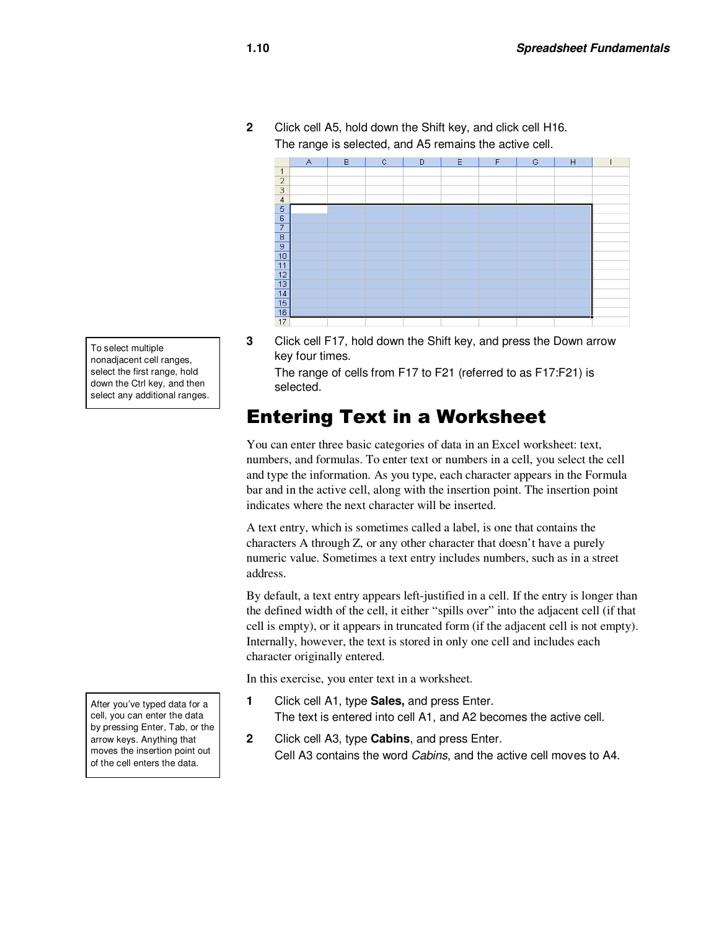**2** Click cell A5, hold down the Shift key, and click cell H16. The range is selected, and A5 remains the active cell.



To select multiple nonadjacent cell ranges, select the first range, hold down the Ctrl key, and then select any additional ranges.

After you've typed data for a cell, you can enter the data by pressing Enter, Tab, or the arrow keys. Anything that moves the insertion point out of the cell enters the data.

**3** Click cell F17, hold down the Shift key, and press the Down arrow key four times.

The range of cells from F17 to F21 (referred to as F17:F21) is selected.

#### Entering Text in a Worksheet

You can enter three basic categories of data in an Excel worksheet: text, numbers, and formulas. To enter text or numbers in a cell, you select the cell and type the information. As you type, each character appears in the Formula bar and in the active cell, along with the insertion point. The insertion point indicates where the next character will be inserted.

A text entry, which is sometimes called a label, is one that contains the characters A through Z, or any other character that doesn't have a purely numeric value. Sometimes a text entry includes numbers, such as in a street address.

By default, a text entry appears left-justified in a cell. If the entry is longer than the defined width of the cell, it either "spills over" into the adjacent cell (if that cell is empty), or it appears in truncated form (if the adjacent cell is not empty). Internally, however, the text is stored in only one cell and includes each character originally entered.

In this exercise, you enter text in a worksheet.

- **1** Click cell A1, type **Sales,** and press Enter. The text is entered into cell A1, and A2 becomes the active cell.
- **2** Click cell A3, type **Cabins**, and press Enter. Cell A3 contains the word Cabins, and the active cell moves to A4.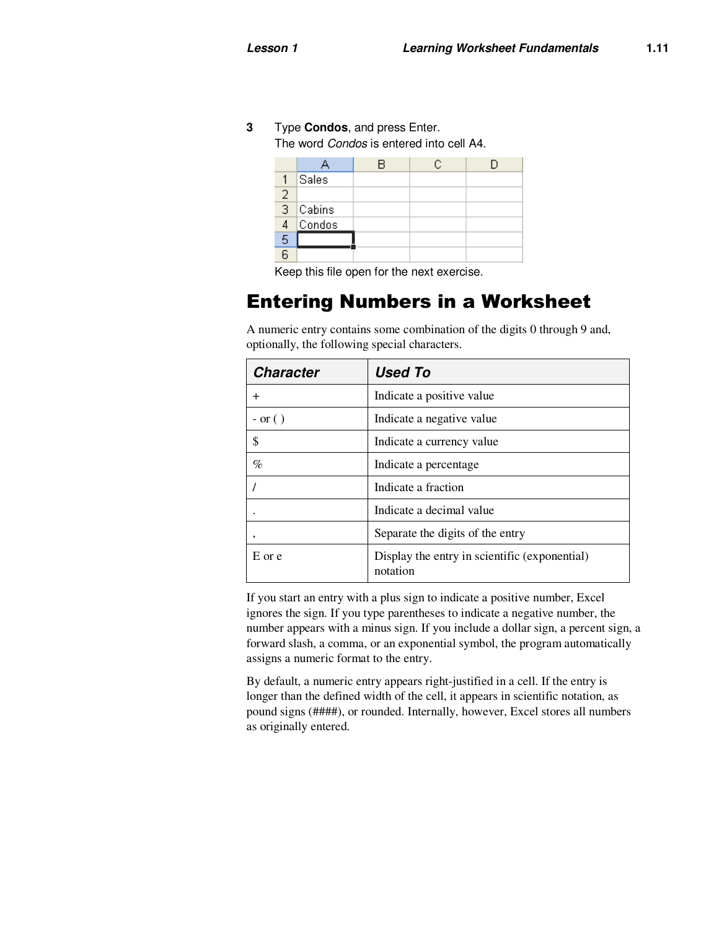**3** Type **Condos**, and press Enter.

The word Condos is entered into cell A4.

|                |               | R | C. |  |
|----------------|---------------|---|----|--|
|                |               |   |    |  |
|                | Sales         |   |    |  |
| 2              |               |   |    |  |
| $\frac{1}{3}$  | <b>Cabins</b> |   |    |  |
| 4              | Condos        |   |    |  |
| 5              |               |   |    |  |
| $\overline{a}$ |               |   |    |  |

Keep this file open for the next exercise.

#### Entering Numbers in a Worksheet

A numeric entry contains some combination of the digits 0 through 9 and, optionally, the following special characters.

| <b>Character</b> | <b>Used To</b>                                            |
|------------------|-----------------------------------------------------------|
| $+$              | Indicate a positive value                                 |
| $-$ or $( )$     | Indicate a negative value                                 |
| \$               | Indicate a currency value                                 |
| %                | Indicate a percentage                                     |
|                  | Indicate a fraction                                       |
|                  | Indicate a decimal value                                  |
| ,                | Separate the digits of the entry                          |
| E or e           | Display the entry in scientific (exponential)<br>notation |

If you start an entry with a plus sign to indicate a positive number, Excel ignores the sign. If you type parentheses to indicate a negative number, the number appears with a minus sign. If you include a dollar sign, a percent sign, a forward slash, a comma, or an exponential symbol, the program automatically assigns a numeric format to the entry.

By default, a numeric entry appears right-justified in a cell. If the entry is longer than the defined width of the cell, it appears in scientific notation, as pound signs (####), or rounded. Internally, however, Excel stores all numbers as originally entered.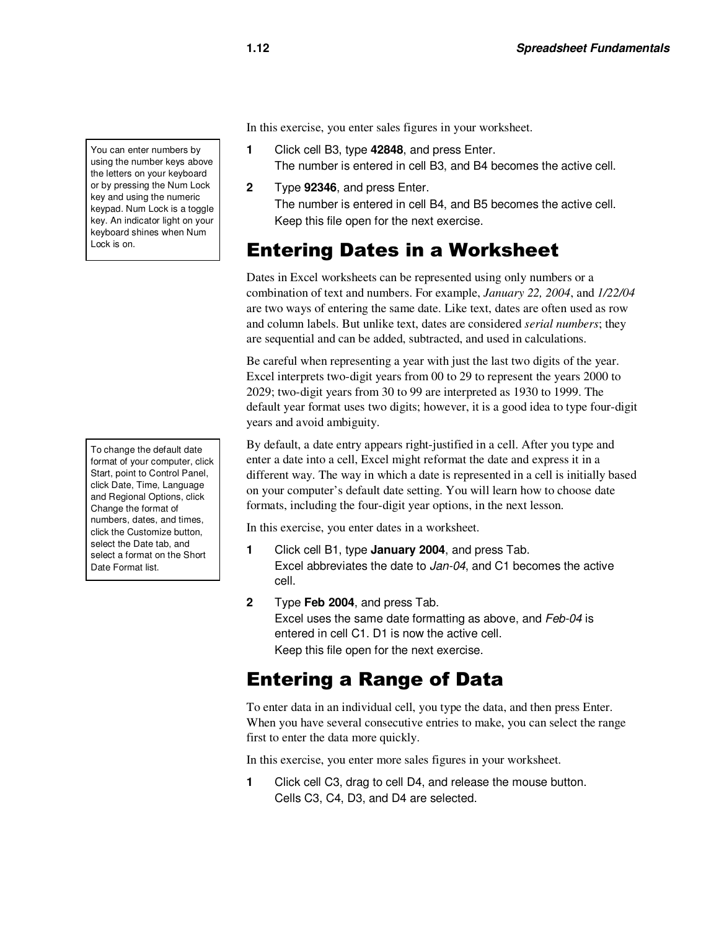You can enter numbers by using the number keys above the letters on your keyboard or by pressing the Num Lock key and using the numeric keypad. Num Lock is a toggle key. An indicator light on your keyboard shines when Num Lock is on.

To change the default date format of your computer, click Start, point to Control Panel, click Date, Time, Language and Regional Options, click Change the format of numbers, dates, and times, click the Customize button, select the Date tab, and select a format on the Short Date Format list.

In this exercise, you enter sales figures in your worksheet.

- **1** Click cell B3, type **42848**, and press Enter. The number is entered in cell B3, and B4 becomes the active cell.
- **2** Type **92346**, and press Enter. The number is entered in cell B4, and B5 becomes the active cell. Keep this file open for the next exercise.

# Entering Dates in a Worksheet

Dates in Excel worksheets can be represented using only numbers or a combination of text and numbers. For example, *January 22, 2004*, and *1/22/04* are two ways of entering the same date. Like text, dates are often used as row and column labels. But unlike text, dates are considered *serial numbers*; they are sequential and can be added, subtracted, and used in calculations.

Be careful when representing a year with just the last two digits of the year. Excel interprets two-digit years from 00 to 29 to represent the years 2000 to 2029; two-digit years from 30 to 99 are interpreted as 1930 to 1999. The default year format uses two digits; however, it is a good idea to type four-digit years and avoid ambiguity.

By default, a date entry appears right-justified in a cell. After you type and enter a date into a cell, Excel might reformat the date and express it in a different way. The way in which a date is represented in a cell is initially based on your computer's default date setting. You will learn how to choose date formats, including the four-digit year options, in the next lesson.

In this exercise, you enter dates in a worksheet.

- **1** Click cell B1, type **January 2004**, and press Tab. Excel abbreviates the date to Jan-04, and C1 becomes the active cell.
- **2** Type **Feb 2004**, and press Tab. Excel uses the same date formatting as above, and Feb-04 is entered in cell C1. D1 is now the active cell. Keep this file open for the next exercise.

#### Entering a Range of Data

To enter data in an individual cell, you type the data, and then press Enter. When you have several consecutive entries to make, you can select the range first to enter the data more quickly.

In this exercise, you enter more sales figures in your worksheet.

**1** Click cell C3, drag to cell D4, and release the mouse button. Cells C3, C4, D3, and D4 are selected.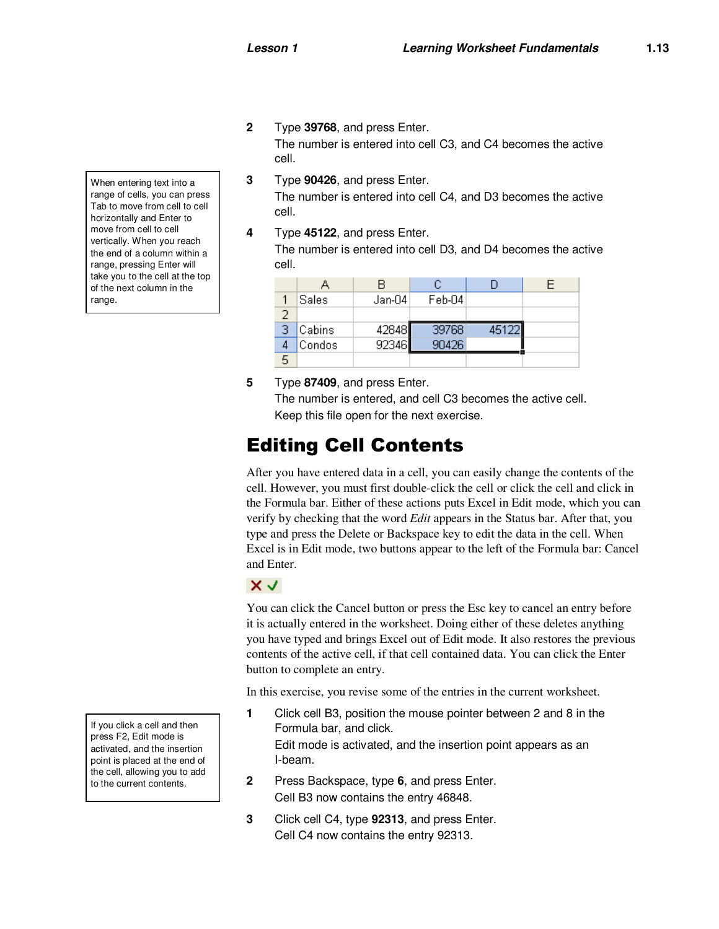**2** Type **39768**, and press Enter.

The number is entered into cell C3, and C4 becomes the active cell.

- **3** Type **90426**, and press Enter. The number is entered into cell C4, and D3 becomes the active cell.
- **4** Type **45122**, and press Enter.

The number is entered into cell D3, and D4 becomes the active cell.

| <b>Sales</b>  | Jan-04 | Feb-04 |       |  |
|---------------|--------|--------|-------|--|
|               |        |        |       |  |
| <b>Cabins</b> | 42848  | 39768  | 45122 |  |
| Condos        | 92346  | 90426  |       |  |
|               |        |        |       |  |

**5** Type **87409**, and press Enter.

The number is entered, and cell C3 becomes the active cell. Keep this file open for the next exercise.

#### Editing Cell Contents

After you have entered data in a cell, you can easily change the contents of the cell. However, you must first double-click the cell or click the cell and click in the Formula bar. Either of these actions puts Excel in Edit mode, which you can verify by checking that the word *Edit* appears in the Status bar. After that, you type and press the Delete or Backspace key to edit the data in the cell. When Excel is in Edit mode, two buttons appear to the left of the Formula bar: Cancel and Enter.



You can click the Cancel button or press the Esc key to cancel an entry before it is actually entered in the worksheet. Doing either of these deletes anything you have typed and brings Excel out of Edit mode. It also restores the previous contents of the active cell, if that cell contained data. You can click the Enter button to complete an entry.

In this exercise, you revise some of the entries in the current worksheet.

- **1** Click cell B3, position the mouse pointer between 2 and 8 in the Formula bar, and click. Edit mode is activated, and the insertion point appears as an I-beam.
- **2** Press Backspace, type **6**, and press Enter. Cell B3 now contains the entry 46848.
- **3** Click cell C4, type **92313**, and press Enter. Cell C4 now contains the entry 92313.

When entering text into a range of cells, you can press Tab to move from cell to cell horizontally and Enter to move from cell to cell vertically. When you reach the end of a column within a range, pressing Enter will take you to the cell at the top of the next column in the range.

If you click a cell and then press F2, Edit mode is activated, and the insertion point is placed at the end of the cell, allowing you to add to the current contents.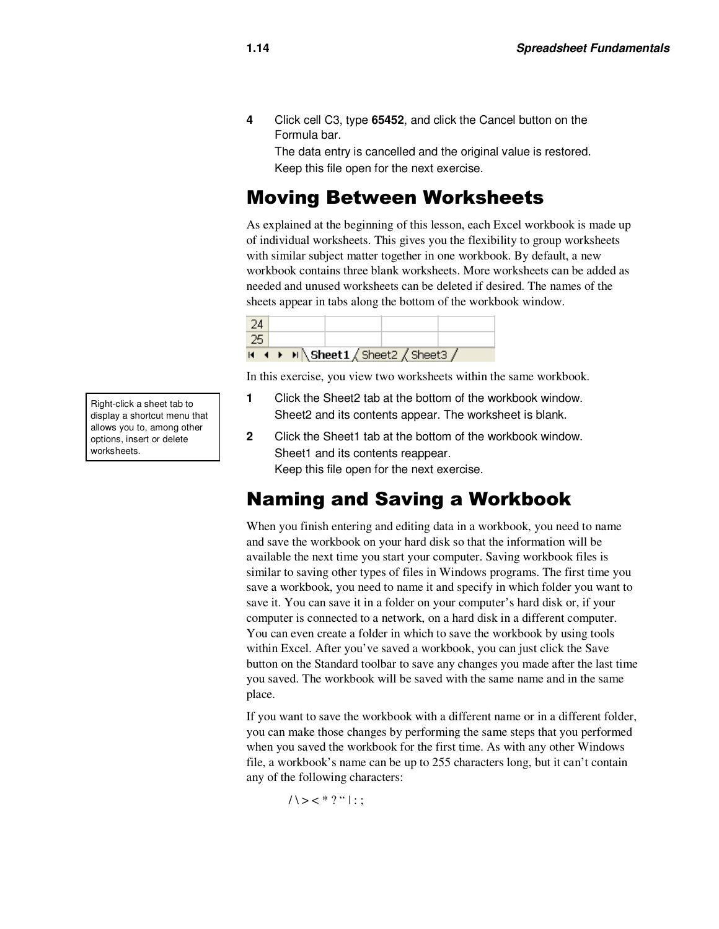**4** Click cell C3, type **65452**, and click the Cancel button on the Formula bar.

The data entry is cancelled and the original value is restored. Keep this file open for the next exercise.

#### Moving Between Worksheets

As explained at the beginning of this lesson, each Excel workbook is made up of individual worksheets. This gives you the flexibility to group worksheets with similar subject matter together in one workbook. By default, a new workbook contains three blank worksheets. More worksheets can be added as needed and unused worksheets can be deleted if desired. The names of the sheets appear in tabs along the bottom of the workbook window.

|  |  | $\overline{H}$ ( $\rightarrow$ $\overline{H}$ ) Sheet1 $\sqrt{S}$ Sheet3 $\sqrt{S}$ |  |
|--|--|-------------------------------------------------------------------------------------|--|
|  |  |                                                                                     |  |
|  |  |                                                                                     |  |

In this exercise, you view two worksheets within the same workbook.

- **1** Click the Sheet2 tab at the bottom of the workbook window. Sheet2 and its contents appear. The worksheet is blank.
- **2** Click the Sheet1 tab at the bottom of the workbook window. Sheet1 and its contents reappear. Keep this file open for the next exercise.

#### Naming and Saving a Workbook

When you finish entering and editing data in a workbook, you need to name and save the workbook on your hard disk so that the information will be available the next time you start your computer. Saving workbook files is similar to saving other types of files in Windows programs. The first time you save a workbook, you need to name it and specify in which folder you want to save it. You can save it in a folder on your computer's hard disk or, if your computer is connected to a network, on a hard disk in a different computer. You can even create a folder in which to save the workbook by using tools within Excel. After you've saved a workbook, you can just click the Save button on the Standard toolbar to save any changes you made after the last time you saved. The workbook will be saved with the same name and in the same place.

If you want to save the workbook with a different name or in a different folder, you can make those changes by performing the same steps that you performed when you saved the workbook for the first time. As with any other Windows file, a workbook's name can be up to 255 characters long, but it can't contain any of the following characters:

 $1 > <$ \* ? " | : ;

Right-click a sheet tab to display a shortcut menu that allows you to, among other options, insert or delete worksheets.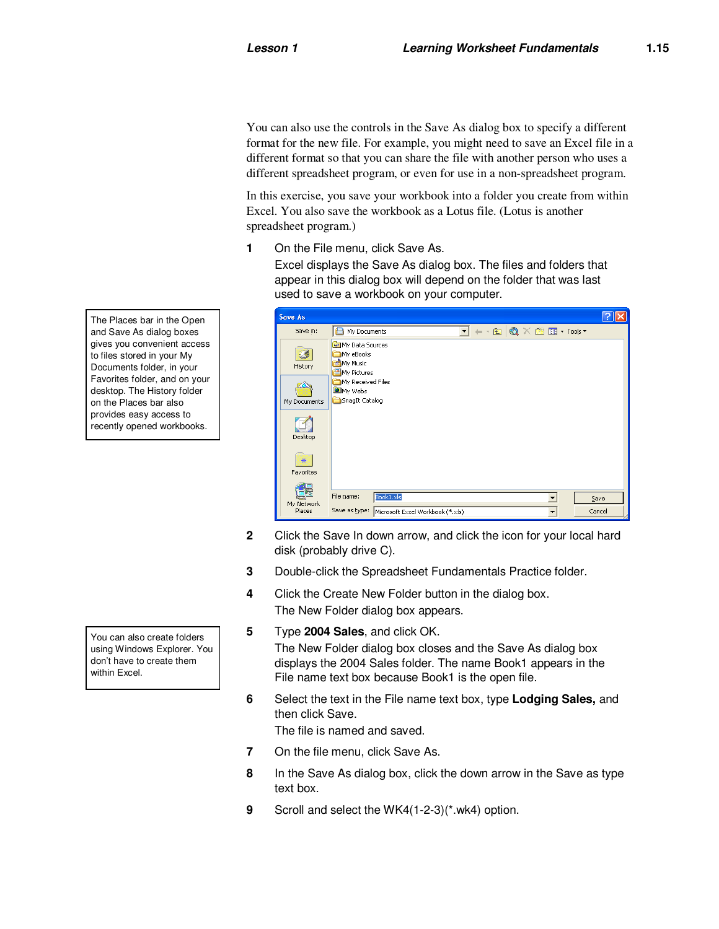You can also use the controls in the Save As dialog box to specify a different format for the new file. For example, you might need to save an Excel file in a different format so that you can share the file with another person who uses a different spreadsheet program, or even for use in a non-spreadsheet program.

In this exercise, you save your workbook into a folder you create from within Excel. You also save the workbook as a Lotus file. (Lotus is another spreadsheet program.)

**1** On the File menu, click Save As.

Excel displays the Save As dialog box. The files and folders that appear in this dialog box will depend on the folder that was last used to save a workbook on your computer.

| Save As              |                                                                              |                                  |                      |                                                                                                       |  |        |
|----------------------|------------------------------------------------------------------------------|----------------------------------|----------------------|-------------------------------------------------------------------------------------------------------|--|--------|
| Save in:             | My Documents                                                                 |                                  | $\blacktriangledown$ | $  \mathbf{E}$ $\mathbf{Q}$ $\times$ $\mathbf{E}$ $\mathbf{E}$ $\mathbf{F}$ $\mathbf{F}$ $\mathbf{F}$ |  |        |
| 33<br>History        | My Data Sources<br>My eBooks<br>My Music<br>My Pictures<br>My Received Files |                                  |                      |                                                                                                       |  |        |
| My Documents         | <b>O</b> My Webs<br>SnagIt Catalog                                           |                                  |                      |                                                                                                       |  |        |
| Desktop              |                                                                              |                                  |                      |                                                                                                       |  |        |
| *<br>Favorites       |                                                                              |                                  |                      |                                                                                                       |  |        |
|                      | File name:                                                                   | Book1.xls                        |                      |                                                                                                       |  | Save   |
| My Network<br>Places | Save as type:                                                                | Microsoft Excel Workbook (*.xls) |                      |                                                                                                       |  | Cancel |

- **2** Click the Save In down arrow, and click the icon for your local hard disk (probably drive C).
- **3** Double-click the Spreadsheet Fundamentals Practice folder.
- **4** Click the Create New Folder button in the dialog box. The New Folder dialog box appears.
- **5** Type **2004 Sales**, and click OK.

The New Folder dialog box closes and the Save As dialog box displays the 2004 Sales folder. The name Book1 appears in the File name text box because Book1 is the open file.

**6** Select the text in the File name text box, type **Lodging Sales,** and then click Save.

The file is named and saved.

- **7** On the file menu, click Save As.
- **8** In the Save As dialog box, click the down arrow in the Save as type text box.
- **9** Scroll and select the WK4(1-2-3)(\*.wk4) option.

The Places bar in the Open and Save As dialog boxes gives you convenient access to files stored in your My Documents folder, in your Favorites folder, and on your desktop. The History folder on the Places bar also provides easy access to recently opened workbooks.

You can also create folders using Windows Explorer. You don't have to create them within Excel.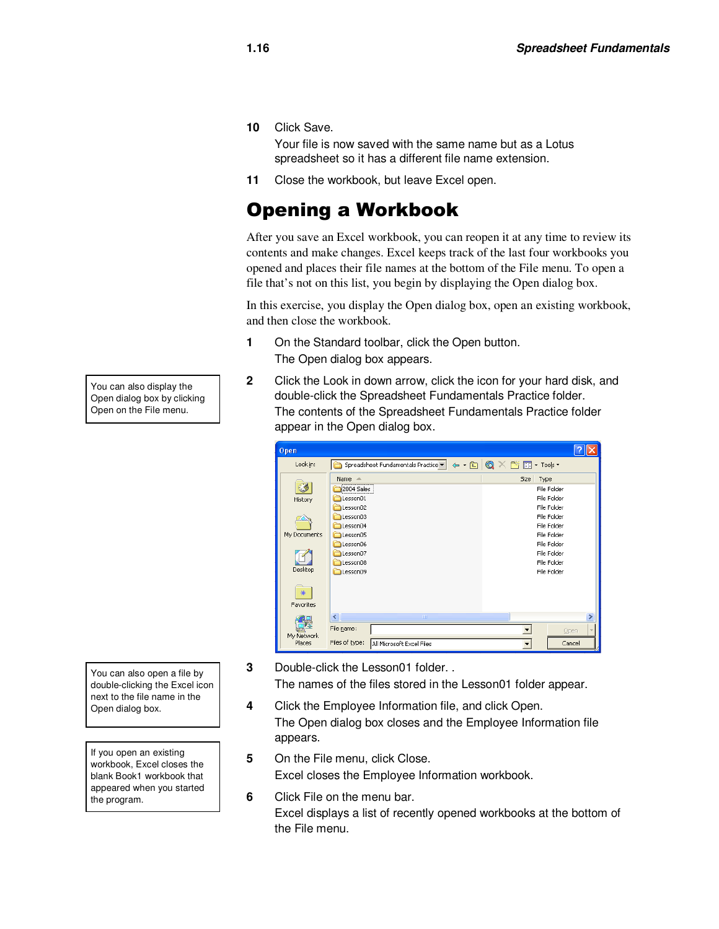**10** Click Save.

Your file is now saved with the same name but as a Lotus spreadsheet so it has a different file name extension.

**11** Close the workbook, but leave Excel open.

# Opening a Workbook

After you save an Excel workbook, you can reopen it at any time to review its contents and make changes. Excel keeps track of the last four workbooks you opened and places their file names at the bottom of the File menu. To open a file that's not on this list, you begin by displaying the Open dialog box.

In this exercise, you display the Open dialog box, open an existing workbook, and then close the workbook.

- **1** On the Standard toolbar, click the Open button. The Open dialog box appears.
- **2** Click the Look in down arrow, click the icon for your hard disk, and double-click the Spreadsheet Fundamentals Practice folder. The contents of the Spreadsheet Fundamentals Practice folder appear in the Open dialog box.

| Open                 |                                                             |                                                                                                                                                                                                                                                                                                                                                                                                                          |
|----------------------|-------------------------------------------------------------|--------------------------------------------------------------------------------------------------------------------------------------------------------------------------------------------------------------------------------------------------------------------------------------------------------------------------------------------------------------------------------------------------------------------------|
| Look in:             | Spreadsheet Fundamentals Practice                           | $\Leftrightarrow$ $\cdot$ $\bigcirc$ $\bigcirc$ $\bigcirc$ $\times$ $\bigcirc$ $\bigcirc$ $\bigcirc$ $\bigcirc$ $\bigcirc$ $\bigcirc$ $\bigcirc$ $\bigcirc$ $\bigcirc$ $\bigcirc$ $\bigcirc$ $\bigcirc$ $\bigcirc$ $\bigcirc$ $\bigcirc$ $\bigcirc$ $\bigcirc$ $\bigcirc$ $\bigcirc$ $\bigcirc$ $\bigcirc$ $\bigcirc$ $\bigcirc$ $\bigcirc$ $\bigcirc$ $\bigcirc$ $\bigcirc$ $\bigcirc$ $\bigcirc$ $\bigcirc$ $\bigcirc$ |
|                      | Name $\triangle$<br>,,,,,,,,,,,,,,,,,,,,,,,,,<br>2004 Sales | Size<br>Type<br>File Folder                                                                                                                                                                                                                                                                                                                                                                                              |
| History              | Lesson01<br>Lesson02                                        | File Folder<br>File Folder                                                                                                                                                                                                                                                                                                                                                                                               |
| My Documents         | esson03<br>Lesson04<br>Lesson05                             | File Folder<br>File Folder<br>File Folder                                                                                                                                                                                                                                                                                                                                                                                |
|                      | Lesson06<br>Lesson07                                        | File Folder<br>File Folder                                                                                                                                                                                                                                                                                                                                                                                               |
| Desktop              | Lesson08<br>Lesson09                                        | File Folder<br>File Folder                                                                                                                                                                                                                                                                                                                                                                                               |
| *<br>Favorites       |                                                             |                                                                                                                                                                                                                                                                                                                                                                                                                          |
|                      | k<br>ШI                                                     |                                                                                                                                                                                                                                                                                                                                                                                                                          |
| My Network<br>Places | File name:<br>Files of type:                                | Open<br>Cancel                                                                                                                                                                                                                                                                                                                                                                                                           |
|                      | All Microsoft Excel Files                                   |                                                                                                                                                                                                                                                                                                                                                                                                                          |

You can also open a file by double-clicking the Excel icon next to the file name in the Open dialog box.

If you open an existing workbook, Excel closes the blank Book1 workbook that appeared when you started the program.

**3** Double-click the Lesson01 folder. .

The names of the files stored in the Lesson01 folder appear.

- **4** Click the Employee Information file, and click Open. The Open dialog box closes and the Employee Information file appears.
- **5** On the File menu, click Close. Excel closes the Employee Information workbook.
- **6** Click File on the menu bar. Excel displays a list of recently opened workbooks at the bottom of the File menu.

You can also display the Open dialog box by clicking Open on the File menu.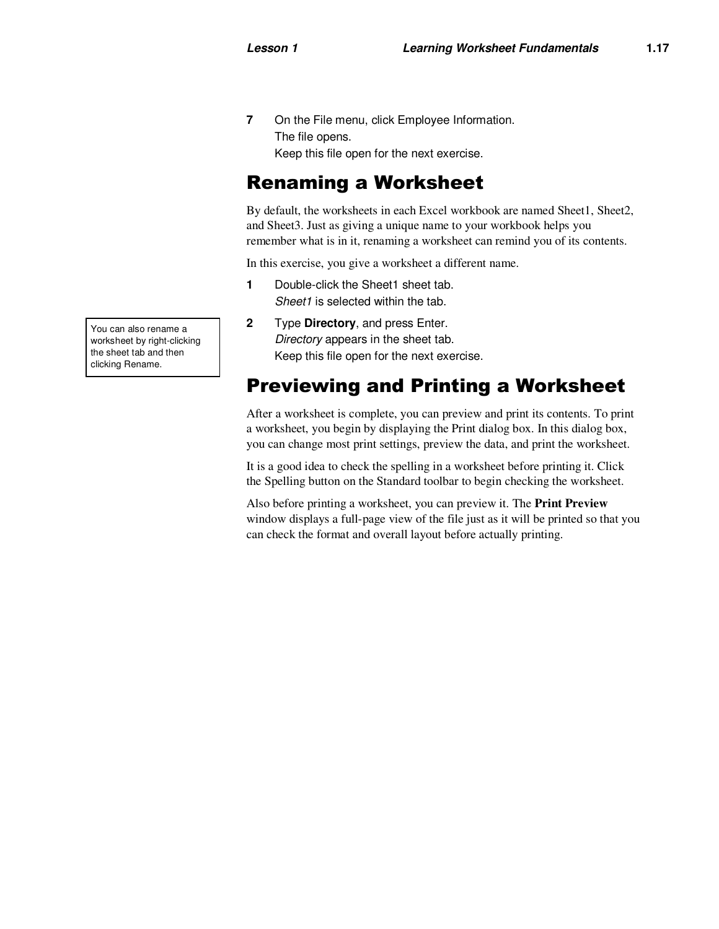**7** On the File menu, click Employee Information. The file opens. Keep this file open for the next exercise.

#### Renaming a Worksheet

By default, the worksheets in each Excel workbook are named Sheet1, Sheet2, and Sheet3. Just as giving a unique name to your workbook helps you remember what is in it, renaming a worksheet can remind you of its contents.

In this exercise, you give a worksheet a different name.

- **1** Double-click the Sheet1 sheet tab. Sheet1 is selected within the tab.
- **2** Type **Directory**, and press Enter. Directory appears in the sheet tab. Keep this file open for the next exercise.

#### Previewing and Printing a Worksheet

After a worksheet is complete, you can preview and print its contents. To print a worksheet, you begin by displaying the Print dialog box. In this dialog box, you can change most print settings, preview the data, and print the worksheet.

It is a good idea to check the spelling in a worksheet before printing it. Click the Spelling button on the Standard toolbar to begin checking the worksheet.

Also before printing a worksheet, you can preview it. The **Print Preview** window displays a full-page view of the file just as it will be printed so that you can check the format and overall layout before actually printing.

You can also rename a worksheet by right-clicking the sheet tab and then clicking Rename.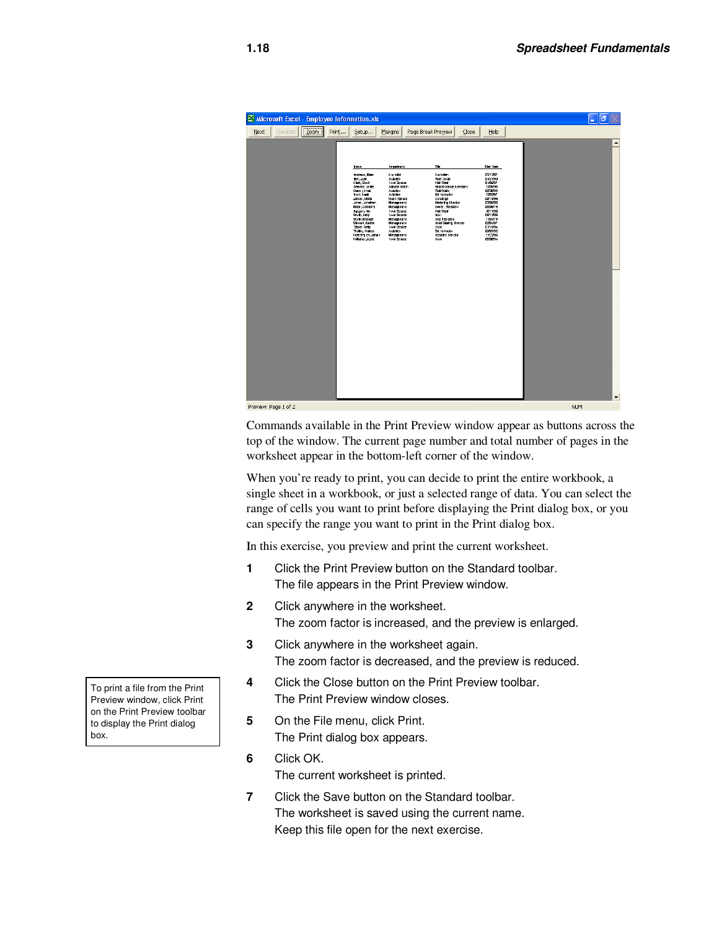

Commands available in the Print Preview window appear as buttons across the top of the window. The current page number and total number of pages in the worksheet appear in the bottom-left corner of the window.

When you're ready to print, you can decide to print the entire workbook, a single sheet in a workbook, or just a selected range of data. You can select the range of cells you want to print before displaying the Print dialog box, or you can specify the range you want to print in the Print dialog box.

In this exercise, you preview and print the current worksheet.

- **1** Click the Print Preview button on the Standard toolbar. The file appears in the Print Preview window.
- **2** Click anywhere in the worksheet. The zoom factor is increased, and the preview is enlarged.
- **3** Click anywhere in the worksheet again. The zoom factor is decreased, and the preview is reduced.
- **4** Click the Close button on the Print Preview toolbar. The Print Preview window closes.
- **5** On the File menu, click Print. The Print dialog box appears.
- **6** Click OK. The current worksheet is printed.
- **7** Click the Save button on the Standard toolbar. The worksheet is saved using the current name. Keep this file open for the next exercise.

To print a file from the Print Preview window, click Print on the Print Preview toolbar to display the Print dialog box.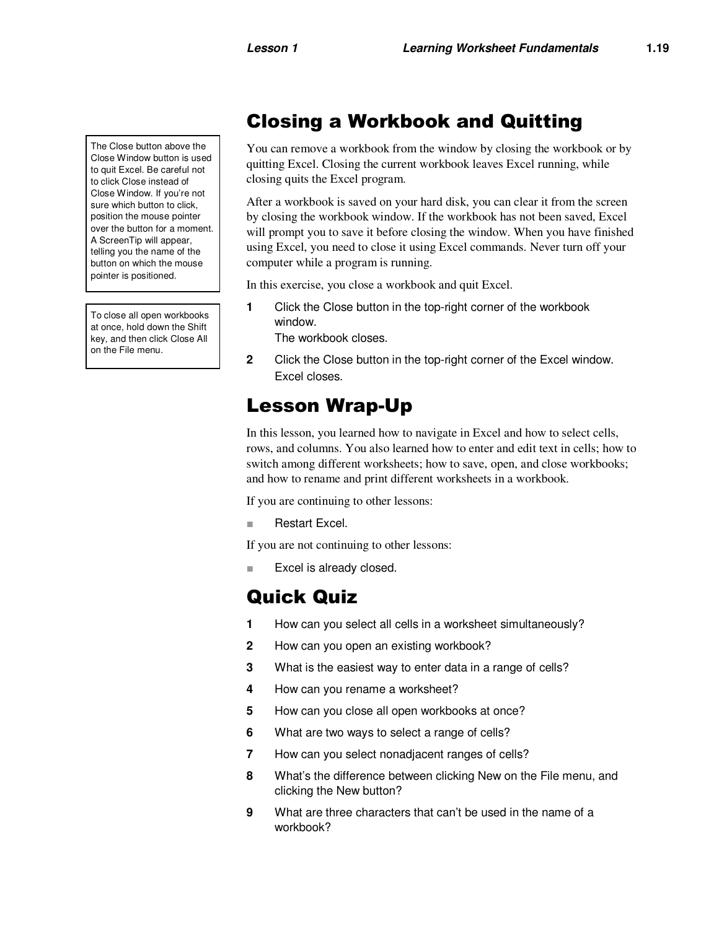The Close button above the Close Window button is used to quit Excel. Be careful not to click Close instead of Close Window. If you're not sure which button to click, position the mouse pointer over the button for a moment. A ScreenTip will appear, telling you the name of the button on which the mouse pointer is positioned.

To close all open workbooks at once, hold down the Shift key, and then click Close All on the File menu.

#### Closing a Workbook and Quitting

You can remove a workbook from the window by closing the workbook or by quitting Excel. Closing the current workbook leaves Excel running, while closing quits the Excel program.

After a workbook is saved on your hard disk, you can clear it from the screen by closing the workbook window. If the workbook has not been saved, Excel will prompt you to save it before closing the window. When you have finished using Excel, you need to close it using Excel commands. Never turn off your computer while a program is running.

In this exercise, you close a workbook and quit Excel.

**1** Click the Close button in the top-right corner of the workbook window.

The workbook closes.

**2** Click the Close button in the top-right corner of the Excel window. Excel closes.

#### Lesson Wrap-Up

In this lesson, you learned how to navigate in Excel and how to select cells, rows, and columns. You also learned how to enter and edit text in cells; how to switch among different worksheets; how to save, open, and close workbooks; and how to rename and print different worksheets in a workbook.

If you are continuing to other lessons:

■ Restart Excel.

If you are not continuing to other lessons:

Excel is already closed.

#### Quick Quiz

- **1** How can you select all cells in a worksheet simultaneously?
- **2** How can you open an existing workbook?
- **3** What is the easiest way to enter data in a range of cells?
- **4** How can you rename a worksheet?
- **5** How can you close all open workbooks at once?
- **6** What are two ways to select a range of cells?
- **7** How can you select nonadjacent ranges of cells?
- **8** What's the difference between clicking New on the File menu, and clicking the New button?
- **9** What are three characters that can't be used in the name of a workbook?